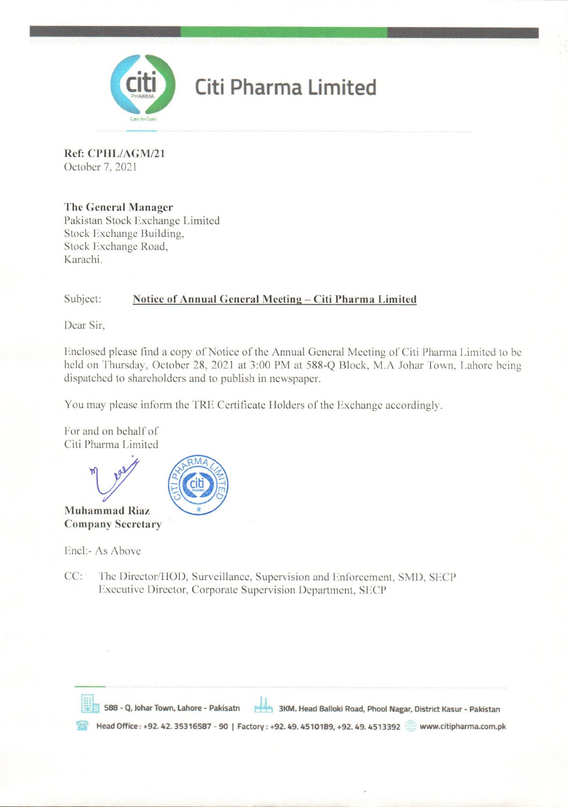

# Citi Pharma Limited

Ref: CPHL/AGM/21 October 7, 2021

# The General Manager

Pakistan Stock Exchange Limited Stock Exchange Building. Stock Exchange Road, Karachi

#### Subject: Notice of Annual General Meeting - Citi Pharma Limited

Dear Sir,

Enclosed please find a copy of Notice of the Annual General Meeting of Citi Pharma Limited to be held on Thursday, October 28, 2021 at 3:00 PM at 588-Q Block, M.A Johar Town, Lahore being dispatched to shareholders and to publish in newspaper.

You may please inform the TRE Certificate Holders of the Exchange accordingly.

For and on behalf of Citi Pharma Limited



# Encl:- As Above

 $CC:$ The Director/HOD, Surveillance, Supervision and Enforcement, SMD, SECP Executive Director, Corporate Supervision Department, SECP

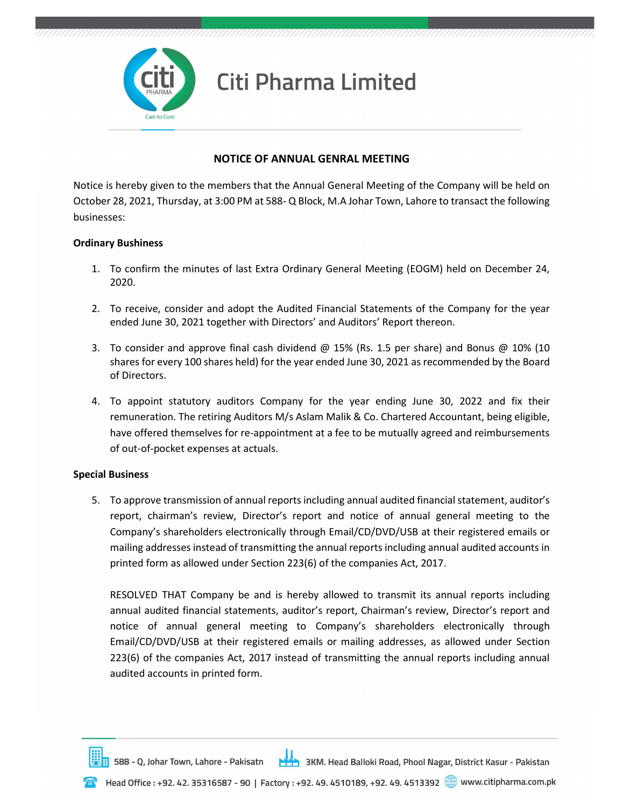

## NOTICE OF ANNUAL GENRAL MEETING

Notice is hereby given to the members that the Annual General Meeting of the Company will be held on October 28, 2021, Thursday, at 3:00 PM at 588- Q Block, M.A Johar Town, Lahore to transact the following businesses:

#### Ordinary Bushiness

- 1. To confirm the minutes of last Extra Ordinary General Meeting (EOGM) held on December 24, 2020.
- 2. To receive, consider and adopt the Audited Financial Statements of the Company for the year ended June 30, 2021 together with Directors' and Auditors' Report thereon.
- 3. To consider and approve final cash dividend  $@$  15% (Rs. 1.5 per share) and Bonus  $@$  10% (10 shares for every 100 shares held) for the year ended June 30, 2021 as recommended by the Board of Directors.
- 4. To appoint statutory auditors Company for the year ending June 30, 2022 and fix their remuneration. The retiring Auditors M/s Aslam Malik & Co. Chartered Accountant, being eligible, have offered themselves for re-appointment at a fee to be mutually agreed and reimbursements of out-of-pocket expenses at actuals.

### Special Business

5. To approve transmission of annual reports including annual audited financial statement, auditor's report, chairman's review, Director's report and notice of annual general meeting to the Company's shareholders electronically through Email/CD/DVD/USB at their registered emails or mailing addresses instead of transmitting the annual reports including annual audited accounts in printed form as allowed under Section 223(6) of the companies Act, 2017.

RESOLVED THAT Company be and is hereby allowed to transmit its annual reports including annual audited financial statements, auditor's report, Chairman's review, Director's report and notice of annual general meeting to Company's shareholders electronically through Email/CD/DVD/USB at their registered emails or mailing addresses, as allowed under Section 223(6) of the companies Act, 2017 instead of transmitting the annual reports including annual audited accounts in printed form.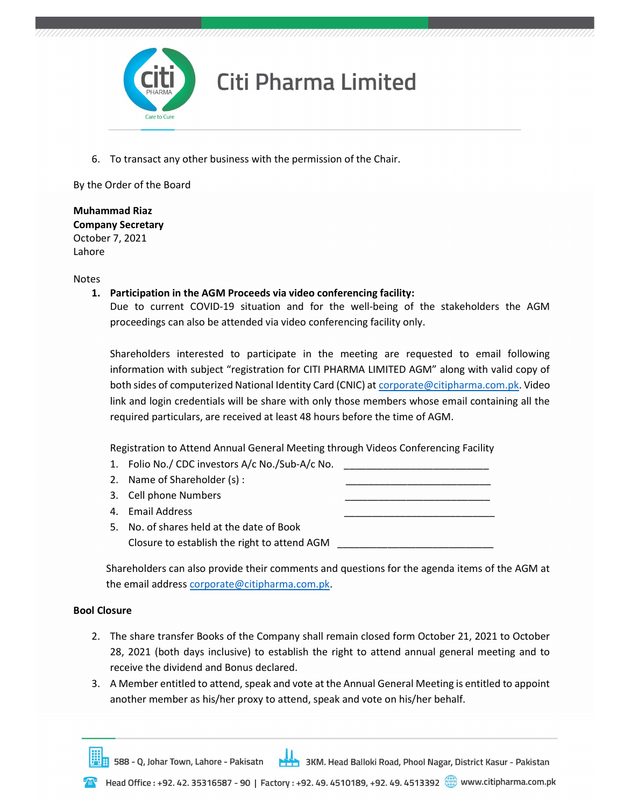

6. To transact any other business with the permission of the Chair.

By the Order of the Board

Muhammad Riaz Company Secretary October 7, 2021 Lahore

Notes

1. Participation in the AGM Proceeds via video conferencing facility:

Due to current COVID-19 situation and for the well-being of the stakeholders the AGM proceedings can also be attended via video conferencing facility only.

Shareholders interested to participate in the meeting are requested to email following information with subject "registration for CITI PHARMA LIMITED AGM" along with valid copy of both sides of computerized National Identity Card (CNIC) at corporate@citipharma.com.pk. Video link and login credentials will be share with only those members whose email containing all the required particulars, are received at least 48 hours before the time of AGM.

Registration to Attend Annual General Meeting through Videos Conferencing Facility

| Closure to establish the right to attend AGM |                                                                                                                                                                          |
|----------------------------------------------|--------------------------------------------------------------------------------------------------------------------------------------------------------------------------|
|                                              | 1. Folio No./ CDC investors A/c No./Sub-A/c No.<br>2. Name of Shareholder (s):<br>3. Cell phone Numbers<br>4. Email Address<br>5. No. of shares held at the date of Book |

Shareholders can also provide their comments and questions for the agenda items of the AGM at the email address corporate@citipharma.com.pk.

### Bool Closure

- 2. The share transfer Books of the Company shall remain closed form October 21, 2021 to October 28, 2021 (both days inclusive) to establish the right to attend annual general meeting and to receive the dividend and Bonus declared.
- 3. A Member entitled to attend, speak and vote at the Annual General Meeting is entitled to appoint another member as his/her proxy to attend, speak and vote on his/her behalf.

588 - Q, Johar Town, Lahore - Pakisatn 3KM. Head Balloki Road, Phool Nagar, District Kasur - Pakistan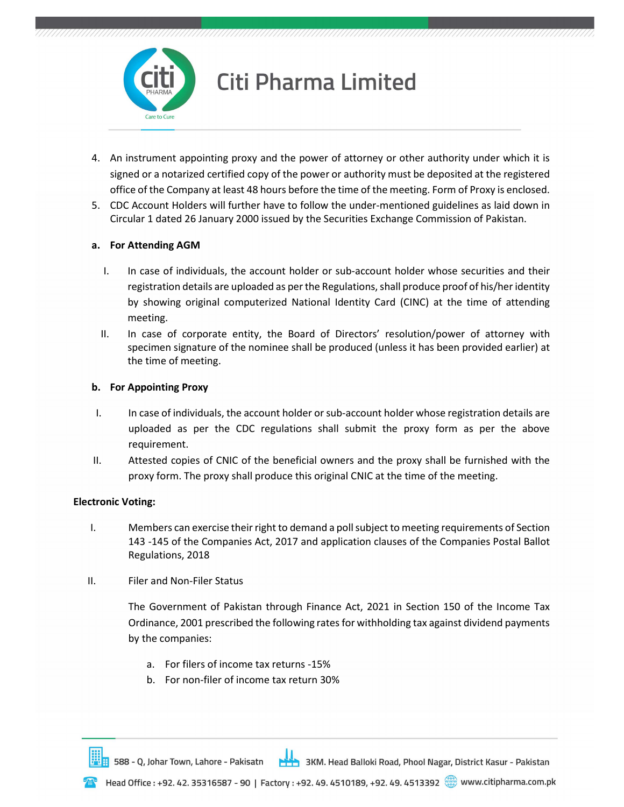

# **Citi Pharma Limited**

- 4. An instrument appointing proxy and the power of attorney or other authority under which it is signed or a notarized certified copy of the power or authority must be deposited at the registered office of the Company at least 48 hours before the time of the meeting. Form of Proxy is enclosed.
- 5. CDC Account Holders will further have to follow the under-mentioned guidelines as laid down in Circular 1 dated 26 January 2000 issued by the Securities Exchange Commission of Pakistan.

### a. For Attending AGM

- I. In case of individuals, the account holder or sub-account holder whose securities and their registration details are uploaded as per the Regulations, shall produce proof of his/her identity by showing original computerized National Identity Card (CINC) at the time of attending meeting.
- II. In case of corporate entity, the Board of Directors' resolution/power of attorney with specimen signature of the nominee shall be produced (unless it has been provided earlier) at the time of meeting.

### b. For Appointing Proxy

- I. In case of individuals, the account holder or sub-account holder whose registration details are uploaded as per the CDC regulations shall submit the proxy form as per the above requirement.
- II. Attested copies of CNIC of the beneficial owners and the proxy shall be furnished with the proxy form. The proxy shall produce this original CNIC at the time of the meeting.

# Electronic Voting:

- I. Members can exercise their right to demand a poll subject to meeting requirements of Section 143 -145 of the Companies Act, 2017 and application clauses of the Companies Postal Ballot Regulations, 2018
- II. Filer and Non-Filer Status

The Government of Pakistan through Finance Act, 2021 in Section 150 of the Income Tax Ordinance, 2001 prescribed the following rates for withholding tax against dividend payments by the companies:

- a. For filers of income tax returns -15%
- b. For non-filer of income tax return 30%

3KM. Head Balloki Road, Phool Nagar, District Kasur - Pakistan 588 - Q, Johar Town, Lahore - Pakisatn